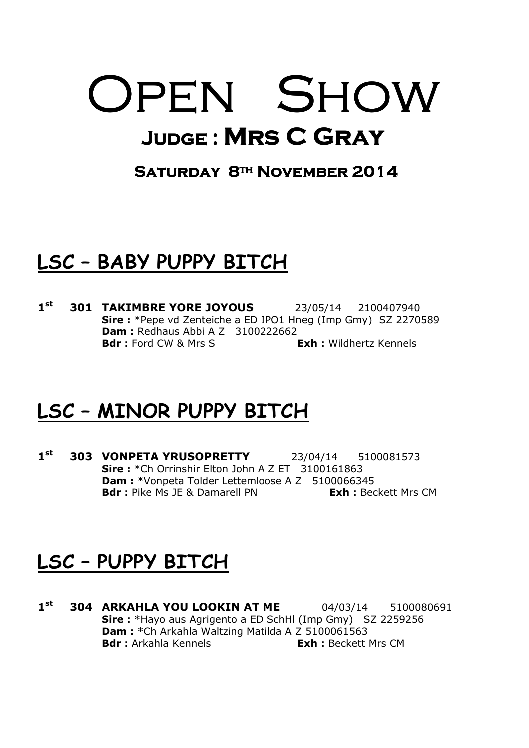# OPEN SHOW JUDGE : MRS C GRAY

#### SATURDAY 8<sup>TH</sup> NOVEMBER 2014

#### LSC – BABY PUPPY BITCH

 $1<sup>st</sup>$ **301 TAKIMBRE YORE JOYOUS** 23/05/14 2100407940 Sire : \*Pepe vd Zenteiche a ED IPO1 Hneg (Imp Gmy) SZ 2270589 **Dam: Redhaus Abbi A Z 3100222662 Bdr**: Ford CW & Mrs S **Exh:** Wildhertz Kennels

#### LSC – MINOR PUPPY BITCH

 $1<sup>st</sup>$ **303 VONPETA YRUSOPRETTY** 23/04/14 5100081573 Sire: \*Ch Orrinshir Elton John A Z ET 3100161863 Dam : \*Vonpeta Tolder Lettemloose A Z 5100066345 **Bdr**: Pike Ms JE & Damarell PN **Exh:** Beckett Mrs CM

#### LSC – PUPPY BITCH

 $1<sup>st</sup>$ **304 ARKAHLA YOU LOOKIN AT ME** 04/03/14 5100080691 Sire : \*Hayo aus Agrigento a ED SchHl (Imp Gmy) SZ 2259256 Dam : \*Ch Arkahla Waltzing Matilda A Z 5100061563 Bdr : Arkahla Kennels **Exh** : Beckett Mrs CM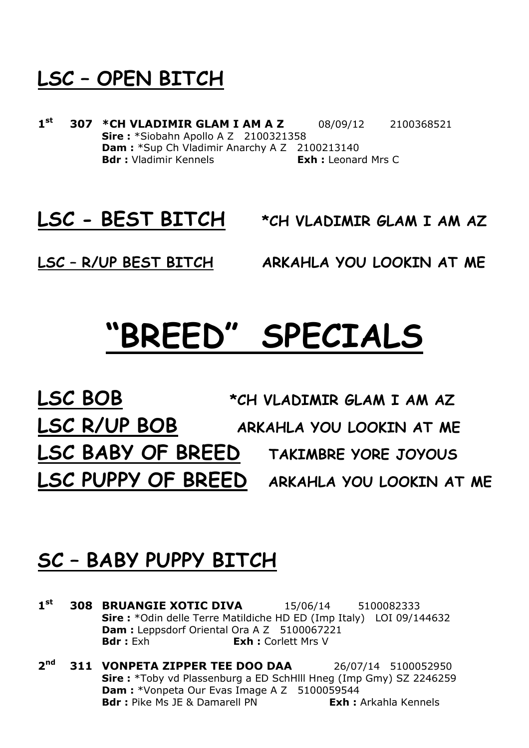### LSC – OPEN BITCH

 $1<sup>st</sup>$ **307 \*CH VLADIMIR GLAM I AM A Z** 08/09/12 2100368521 Sire: \*Siobahn Apollo A Z 2100321358 Dam : \*Sup Ch Vladimir Anarchy A Z 2100213140 **Bdr :** Vladimir Kennels **Exh :** Leonard Mrs C

LSC - BEST BITCH \*CH VLADIMIR GLAM I AM AZ

LSC – R/UP BEST BITCH ARKAHLA YOU LOOKIN AT ME

### "BREED" SPECIALS

LSC BOB \*CH VLADIMIR GLAM I AM AZ LSC R/UP BOB ARKAHLA YOU LOOKIN AT ME LSC BABY OF BREED TAKIMBRE YORE JOYOUS LSC PUPPY OF BREED ARKAHLA YOU LOOKIN AT ME

#### SC – BABY PUPPY BITCH

- $1<sup>st</sup>$ **308 BRUANGIE XOTIC DIVA** 15/06/14 5100082333 Sire : \*Odin delle Terre Matildiche HD ED (Imp Italy) LOI 09/144632 Dam : Leppsdorf Oriental Ora A Z 5100067221 **Bdr** : Exh : Corlett Mrs V
- $2<sub>nd</sub>$ **311 VONPETA ZIPPER TEE DOO DAA** 26/07/14 5100052950 Sire : \*Toby vd Plassenburg a ED SchHlll Hneg (Imp Gmy) SZ 2246259 Dam : \*Vonpeta Our Evas Image A Z 5100059544 **Bdr**: Pike Ms JE & Damarell PN **Exh:** Arkahla Kennels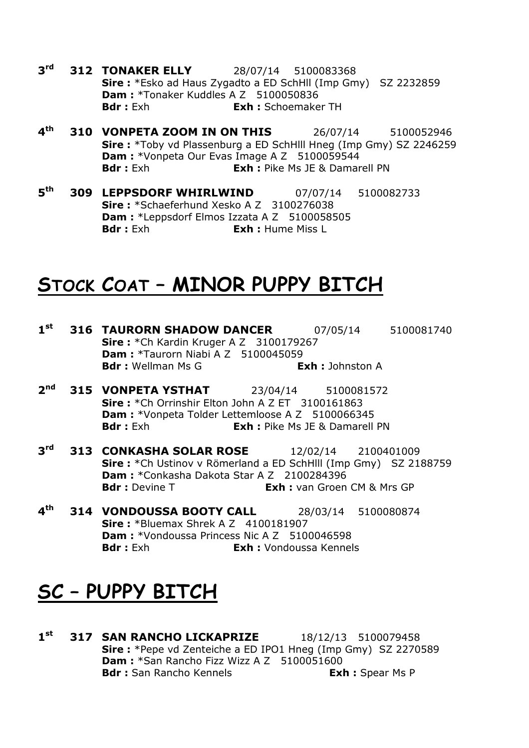- $3<sup>rd</sup>$ **312 TONAKER ELLY** 28/07/14 5100083368 Sire : \*Esko ad Haus Zygadto a ED SchHll (Imp Gmy) SZ 2232859 Dam : \*Tonaker Kuddles A Z 5100050836 Bdr : Exh **Exh :** Schoemaker TH
- $\mathbf{A}^{\text{th}}$ **310 VONPETA ZOOM IN ON THIS** 26/07/14 5100052946 Sire : \*Toby vd Plassenburg a ED SchHlll Hneg (Imp Gmy) SZ 2246259 Dam : \*Vonpeta Our Evas Image A Z 5100059544 **Bdr**: Exh **Exh:** Pike Ms JE & Damarell PN
- $F<sub>th</sub>$ **309 LEPPSDORF WHIRLWIND** 07/07/14 5100082733 Sire: \*Schaeferhund Xesko A Z 3100276038 Dam : \*Leppsdorf Elmos Izzata A Z 5100058505 **Bdr**: Exh **Exh:** Hume Miss L

#### STOCK COAT – MINOR PUPPY BITCH

- $1<sup>st</sup>$ **316 TAURORN SHADOW DANCER** 07/05/14 5100081740 **Sire:** \*Ch Kardin Kruger A Z 3100179267 **Dam: \*Taurorn Niabi A Z 5100045059** Bdr : Wellman Ms G **Exh : Johnston A**
- $2<sup>nd</sup>$ **315 VONPETA YSTHAT** 23/04/14 5100081572 Sire: \*Ch Orrinshir Elton John A Z ET 3100161863 Dam : \*Vonpeta Tolder Lettemloose A Z 5100066345 **Bdr**: Exh **Exh:** Pike Ms JE & Damarell PN
- $3<sup>rd</sup>$ **313 CONKASHA SOLAR ROSE** 12/02/14 2100401009 Sire : \*Ch Ustinov v Römerland a ED SchHlll (Imp Gmy) SZ 2188759 Dam: \*Conkasha Dakota Star A Z 2100284396 **Bdr :** Devine T **Exh :** van Groen CM & Mrs GP
- $4<sup>th</sup>$ **314 VONDOUSSA BOOTY CALL** 28/03/14 5100080874 **Sire:** \*Bluemax Shrek A Z 4100181907 **Dam: \***Vondoussa Princess Nic A Z 5100046598 Bdr : Exh **Exh :** Vondoussa Kennels

#### SC – PUPPY BITCH

 $1<sup>st</sup>$ **317 SAN RANCHO LICKAPRIZE** 18/12/13 5100079458 Sire : \*Pepe vd Zenteiche a ED IPO1 Hneg (Imp Gmy) SZ 2270589 Dam : \*San Rancho Fizz Wizz A Z 5100051600 Bdr: San Rancho Kennels **Exh:** Spear Ms P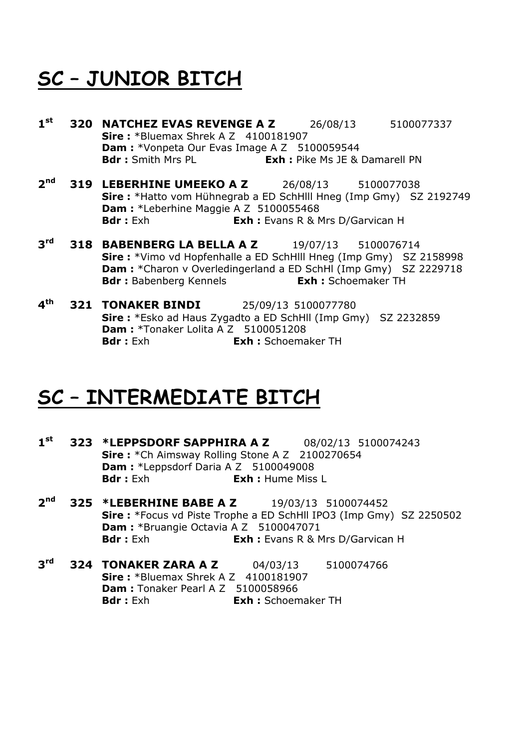### SC – JUNIOR BITCH

- $1<sup>st</sup>$ **320 NATCHEZ EVAS REVENGE A Z** 26/08/13 5100077337 **Sire:** \*Bluemax Shrek A Z 4100181907 **Dam:** \*Vonpeta Our Evas Image A Z 5100059544 **Bdr**: Smith Mrs PL **Exh:** Pike Ms JE & Damarell PN
- $2<sub>nd</sub>$ **319 LEBERHINE UMEEKO A Z** 26/08/13 5100077038 Sire : \*Hatto vom Hühnegrab a ED SchHlll Hneg (Imp Gmy) SZ 2192749 Dam : \*Leberhine Maggie A Z 5100055468 **Bdr**: Exh **Exh:** Evans R & Mrs D/Garvican H
- $3<sup>rd</sup>$ **318 BABENBERG LA BELLA A Z** 19/07/13 5100076714 Sire : \*Vimo vd Hopfenhalle a ED SchHlll Hneg (Imp Gmy) SZ 2158998 Dam : \* Charon v Overledingerland a ED SchHl (Imp Gmy) SZ 2229718 Bdr : Babenberg Kennels **Exh :** Schoemaker TH
- $4<sup>th</sup>$ **321 TONAKER BINDI** 25/09/13 5100077780 Sire : \*Esko ad Haus Zygadto a ED SchHll (Imp Gmy) SZ 2232859 Dam : \*Tonaker Lolita A Z 5100051208 **Bdr**: Exh **Exh:** Schoemaker TH

#### SC – INTERMEDIATE BITCH

- $1<sup>st</sup>$ **323 \*LEPPSDORF SAPPHIRA A Z** 08/02/13 5100074243 Sire: \*Ch Aimsway Rolling Stone A Z 2100270654 Dam: \*Leppsdorf Daria A Z 5100049008 **Bdr** : Exh : **Exh** : Hume Miss I
- $2<sup>nd</sup>$ **325 \*LEBERHINE BABE A Z** 19/03/13 5100074452 Sire : \*Focus vd Piste Trophe a ED SchHll IPO3 (Imp Gmy) SZ 2250502 Dam : \*Bruangie Octavia A Z 5100047071 **Bdr :** Exh : Evans R & Mrs D/Garvican H
- $3<sup>rd</sup>$ **324 TONAKER ZARA A Z** 04/03/13 5100074766 **Sire: \*Bluemax Shrek A Z 4100181907 Dam:** Tonaker Pearl A Z 5100058966 Bdr : Exh **Exh : Schoemaker TH**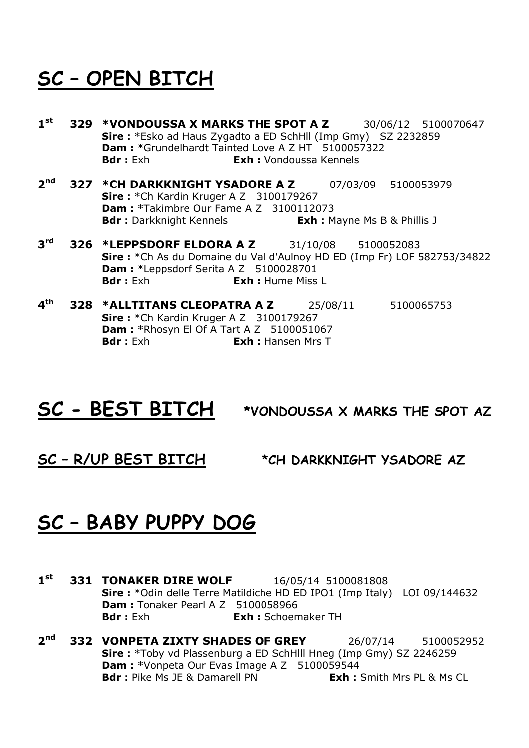### SC – OPEN BITCH

- $1<sup>st</sup>$ **329 \*VONDOUSSA X MARKS THE SPOT A Z** 30/06/12 5100070647 Sire : \*Esko ad Haus Zygadto a ED SchHll (Imp Gmy) SZ 2232859 Dam : \*Grundelhardt Tainted Love A Z HT 5100057322 Bdr : Exh **Exh :** Vondoussa Kennels
- $2<sub>nd</sub>$ **327 \*CH DARKKNIGHT YSADORE A Z** 07/03/09 5100053979 **Sire:** \*Ch Kardin Kruger A Z 3100179267 Dam : \*Takimbre Our Fame A Z 3100112073 **Bdr**: Darkknight Kennels **Exh:** Mayne Ms B & Phillis J
- $3<sup>rd</sup>$ **326 \*LEPPSDORF ELDORA A Z** 31/10/08 5100052083 Sire : \*Ch As du Domaine du Val d'Aulnoy HD ED (Imp Fr) LOF 582753/34822 Dam: \*Leppsdorf Serita A Z 5100028701 **Bdr** : Exh : Hume Miss I
- $4<sup>th</sup>$ **328 \*ALLTITANS CLEOPATRA A Z** 25/08/11 5100065753 Sire: \*Ch Kardin Kruger A Z 3100179267 **Dam: \*Rhosyn El Of A Tart A Z 5100051067 Bdr**: Exh **Exh:** Hansen Mrs T

#### SC - BEST BITCH \*VONDOUSSA X MARKS THE SPOT AZ

SC – R/UP BEST BITCH \*CH DARKKNIGHT YSADORE AZ

#### SC – BABY PUPPY DOG

- $1<sup>st</sup>$ **331 TONAKER DIRE WOLF** 16/05/14 5100081808 Sire : \*Odin delle Terre Matildiche HD ED IPO1 (Imp Italy) LOI 09/144632 **Dam:** Tonaker Pearl A Z 5100058966 Bdr : Exh : Schoemaker TH
- $2<sup>nd</sup>$ **332 VONPETA ZIXTY SHADES OF GREY** 26/07/14 5100052952 Sire : \*Toby vd Plassenburg a ED SchHlll Hneg (Imp Gmy) SZ 2246259 Dam : \*Vonpeta Our Evas Image A Z 5100059544 **Bdr**: Pike Ms JE & Damarell PN **Exh:** Smith Mrs PL & Ms CL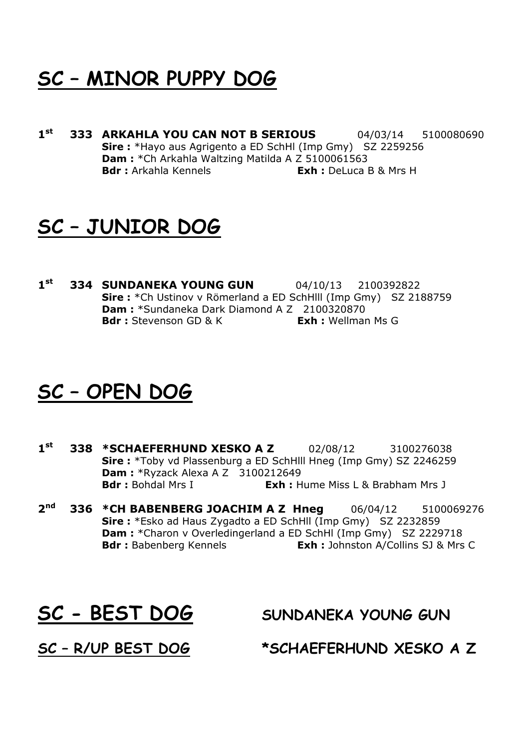### SC – MINOR PUPPY DOG

 $1<sup>st</sup>$ **333 ARKAHLA YOU CAN NOT B SERIOUS** 04/03/14 5100080690 Sire : \*Hayo aus Agrigento a ED SchHl (Imp Gmy) SZ 2259256 Dam : \* Ch Arkahla Waltzing Matilda A Z 5100061563 **Bdr**: Arkahla Kennels **Exh**: DeLuca B & Mrs H

#### SC – JUNIOR DOG

 $1<sup>st</sup>$ **334 SUNDANEKA YOUNG GUN** 04/10/13 2100392822 Sire : \*Ch Ustinov v Römerland a ED SchHlll (Imp Gmy) SZ 2188759 Dam : \*Sundaneka Dark Diamond A Z 2100320870 **Bdr**: Stevenson GD & K **Exh**: Wellman Ms G

#### SC – OPEN DOG

- $1<sup>st</sup>$ **338 \*SCHAEFERHUND XESKO A Z** 02/08/12 3100276038 Sire : \*Toby vd Plassenburg a ED SchHlll Hneg (Imp Gmy) SZ 2246259 **Dam :** \*Ryzack Alexa A Z  $\overline{3100212649}$ <br>**Bdr :** Bohdal Mrs I **Exh :** H **Exh :** Hume Miss L & Brabham Mrs J
- $2<sub>nd</sub>$ **336 \*CH BABENBERG JOACHIM A Z Hneg** 06/04/12 5100069276 Sire : \*Esko ad Haus Zygadto a ED SchHll (Imp Gmy) SZ 2232859 Dam : \*Charon v Overledingerland a ED SchHl (Imp Gmy) SZ 2229718 Bdr: Babenberg Kennels **Exh:** Johnston A/Collins SJ & Mrs C

SC - BEST DOG SUNDANEKA YOUNG GUN

SC – R/UP BEST DOG \*SCHAEFERHUND XESKO A Z